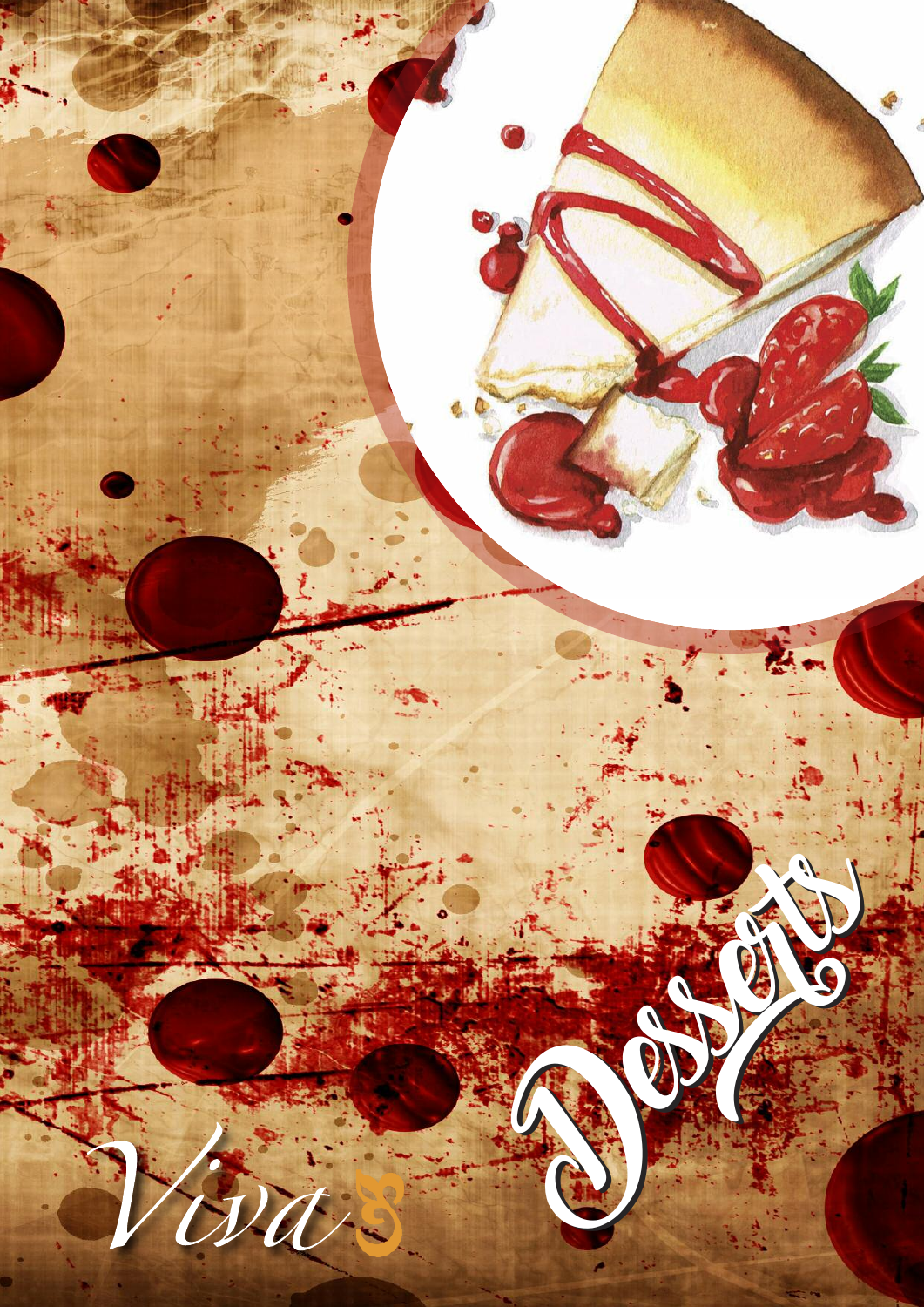